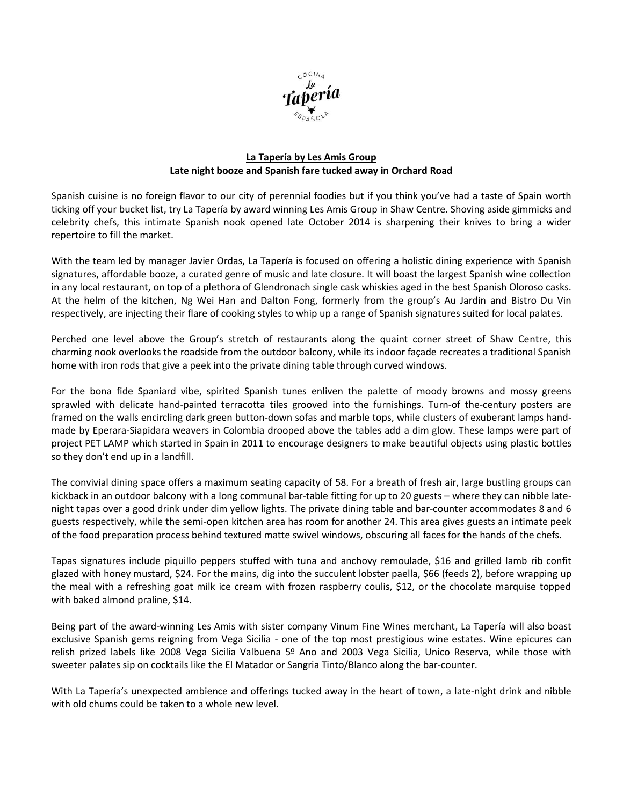

## **La Tapería by Les Amis Group Late night booze and Spanish fare tucked away in Orchard Road**

Spanish cuisine is no foreign flavor to our city of perennial foodies but if you think you've had a taste of Spain worth ticking off your bucket list, try La Tapería by award winning Les Amis Group in Shaw Centre. Shoving aside gimmicks and celebrity chefs, this intimate Spanish nook opened late October 2014 is sharpening their knives to bring a wider repertoire to fill the market.

With the team led by manager Javier Ordas, La Tapería is focused on offering a holistic dining experience with Spanish signatures, affordable booze, a curated genre of music and late closure. It will boast the largest Spanish wine collection in any local restaurant, on top of a plethora of Glendronach single cask whiskies aged in the best Spanish Oloroso casks. At the helm of the kitchen, Ng Wei Han and Dalton Fong, formerly from the group's Au Jardin and Bistro Du Vin respectively, are injecting their flare of cooking styles to whip up a range of Spanish signatures suited for local palates.

Perched one level above the Group's stretch of restaurants along the quaint corner street of Shaw Centre, this charming nook overlooks the roadside from the outdoor balcony, while its indoor façade recreates a traditional Spanish home with iron rods that give a peek into the private dining table through curved windows.

For the bona fide Spaniard vibe, spirited Spanish tunes enliven the palette of moody browns and mossy greens sprawled with delicate hand-painted terracotta tiles grooved into the furnishings. Turn-of the-century posters are framed on the walls encircling dark green button-down sofas and marble tops, while clusters of exuberant lamps handmade by Eperara-Siapidara weavers in Colombia drooped above the tables add a dim glow. These lamps were part of project PET LAMP which started in Spain in 2011 to encourage designers to make beautiful objects using plastic bottles so they don't end up in a landfill.

The convivial dining space offers a maximum seating capacity of 58. For a breath of fresh air, large bustling groups can kickback in an outdoor balcony with a long communal bar-table fitting for up to 20 guests – where they can nibble latenight tapas over a good drink under dim yellow lights. The private dining table and bar-counter accommodates 8 and 6 guests respectively, while the semi-open kitchen area has room for another 24. This area gives guests an intimate peek of the food preparation process behind textured matte swivel windows, obscuring all faces for the hands of the chefs.

Tapas signatures include piquillo peppers stuffed with tuna and anchovy remoulade, \$16 and grilled lamb rib confit glazed with honey mustard, \$24. For the mains, dig into the succulent lobster paella, \$66 (feeds 2), before wrapping up the meal with a refreshing goat milk ice cream with frozen raspberry coulis, \$12, or the chocolate marquise topped with baked almond praline, \$14.

Being part of the award-winning Les Amis with sister company Vinum Fine Wines merchant, La Tapería will also boast exclusive Spanish gems reigning from Vega Sicilia - one of the top most prestigious wine estates. Wine epicures can relish prized labels like 2008 Vega Sicilia Valbuena 5º Ano and 2003 Vega Sicilia, Unico Reserva, while those with sweeter palates sip on cocktails like the El Matador or Sangria Tinto/Blanco along the bar-counter.

With La Tapería's unexpected ambience and offerings tucked away in the heart of town, a late-night drink and nibble with old chums could be taken to a whole new level.